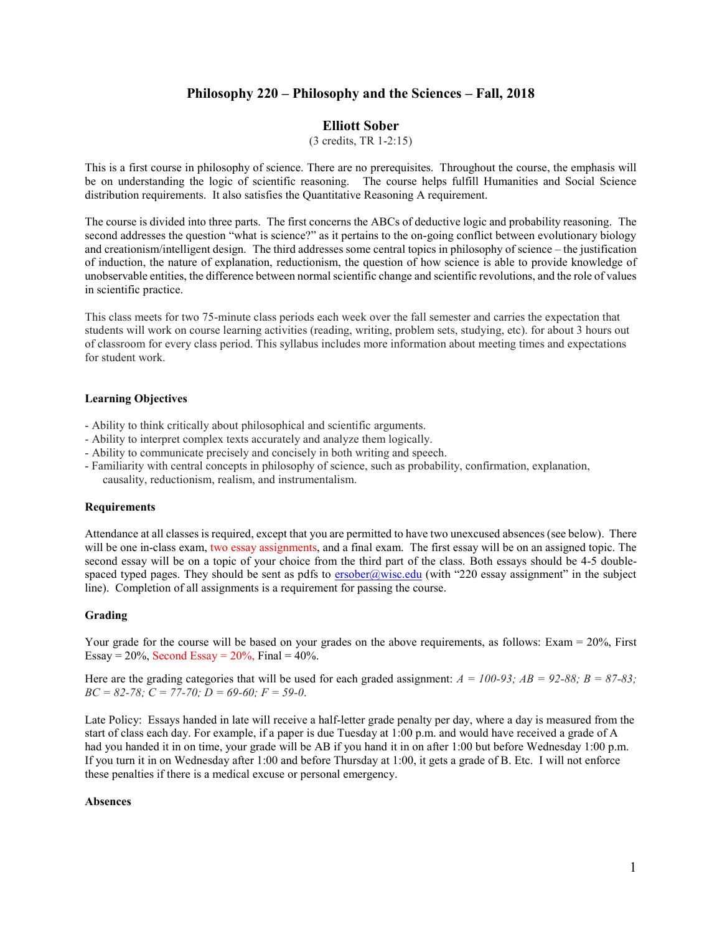# **Philosophy 220 – Philosophy and the Sciences – Fall, 2018**

# **Elliott Sober**

(3 credits, TR 1-2:15)

This is a first course in philosophy of science. There are no prerequisites. Throughout the course, the emphasis will be on understanding the logic of scientific reasoning. The course helps fulfill Humanities and Social Science distribution requirements. It also satisfies the Quantitative Reasoning A requirement.

The course is divided into three parts. The first concerns the ABCs of deductive logic and probability reasoning. The second addresses the question "what is science?" as it pertains to the on-going conflict between evolutionary biology and creationism/intelligent design. The third addresses some central topics in philosophy of science – the justification of induction, the nature of explanation, reductionism, the question of how science is able to provide knowledge of unobservable entities, the difference between normal scientific change and scientific revolutions, and the role of values in scientific practice.

This class meets for two 75-minute class periods each week over the fall semester and carries the expectation that students will work on course learning activities (reading, writing, problem sets, studying, etc). for about 3 hours out of classroom for every class period. This syllabus includes more information about meeting times and expectations for student work.

#### **Learning Objectives**

- Ability to think critically about philosophical and scientific arguments.
- Ability to interpret complex texts accurately and analyze them logically.
- Ability to communicate precisely and concisely in both writing and speech.
- Familiarity with central concepts in philosophy of science, such as probability, confirmation, explanation, causality, reductionism, realism, and instrumentalism.

#### **Requirements**

Attendance at all classes is required, except that you are permitted to have two unexcused absences (see below). There will be one in-class exam, two essay assignments, and a final exam. The first essay will be on an assigned topic. The second essay will be on a topic of your choice from the third part of the class. Both essays should be 4-5 doublespaced typed pages. They should be sent as pdfs to [ersober@wisc.edu](mailto:ersober@wisc.edu) (with "220 essay assignment" in the subject line). Completion of all assignments is a requirement for passing the course.

#### **Grading**

Your grade for the course will be based on your grades on the above requirements, as follows: Exam = 20%, First Essay =  $20\%$ , Second Essay =  $20\%$ , Final =  $40\%$ .

Here are the grading categories that will be used for each graded assignment:  $A = 100-93$ ;  $AB = 92-88$ ;  $B = 87-83$ ; *BC = 82-78; C = 77-70; D = 69-60; F = 59-0*.

Late Policy: Essays handed in late will receive a half-letter grade penalty per day, where a day is measured from the start of class each day. For example, if a paper is due Tuesday at 1:00 p.m. and would have received a grade of A had you handed it in on time, your grade will be AB if you hand it in on after 1:00 but before Wednesday 1:00 p.m. If you turn it in on Wednesday after 1:00 and before Thursday at 1:00, it gets a grade of B. Etc. I will not enforce these penalties if there is a medical excuse or personal emergency.

#### **Absences**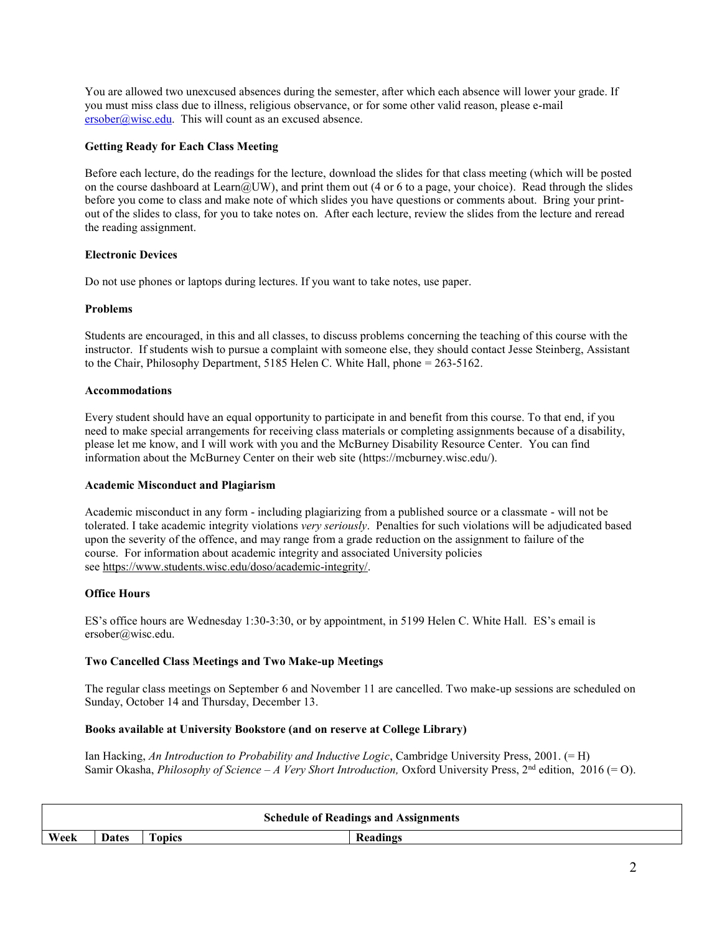You are allowed two unexcused absences during the semester, after which each absence will lower your grade. If you must miss class due to illness, religious observance, or for some other valid reason, please e-mail  $ersober@wise.edu.$  This will count as an excused absence.

## **Getting Ready for Each Class Meeting**

Before each lecture, do the readings for the lecture, download the slides for that class meeting (which will be posted on the course dashboard at Learn@UW), and print them out (4 or 6 to a page, your choice). Read through the slides before you come to class and make note of which slides you have questions or comments about. Bring your printout of the slides to class, for you to take notes on. After each lecture, review the slides from the lecture and reread the reading assignment.

### **Electronic Devices**

Do not use phones or laptops during lectures. If you want to take notes, use paper.

### **Problems**

Students are encouraged, in this and all classes, to discuss problems concerning the teaching of this course with the instructor. If students wish to pursue a complaint with someone else, they should contact Jesse Steinberg, Assistant to the Chair, Philosophy Department, 5185 Helen C. White Hall, phone = 263-5162.

#### **Accommodations**

Every student should have an equal opportunity to participate in and benefit from this course. To that end, if you need to make special arrangements for receiving class materials or completing assignments because of a disability, please let me know, and I will work with you and the McBurney Disability Resource Center. You can find information about the McBurney Center on their web site (https://mcburney.wisc.edu/).

### **Academic Misconduct and Plagiarism**

Academic misconduct in any form - including plagiarizing from a published source or a classmate - will not be tolerated. I take academic integrity violations *very seriously*. Penalties for such violations will be adjudicated based upon the severity of the offence, and may range from a grade reduction on the assignment to failure of the course. For information about academic integrity and associated University policies see [https://www.students.wisc.edu/doso/academic-integrity/.](https://www.students.wisc.edu/doso/academic-integrity/)

### **Office Hours**

ES's office hours are Wednesday 1:30-3:30, or by appointment, in 5199 Helen C. White Hall. ES's email is ersober@wisc.edu.

### **Two Cancelled Class Meetings and Two Make-up Meetings**

The regular class meetings on September 6 and November 11 are cancelled. Two make-up sessions are scheduled on Sunday, October 14 and Thursday, December 13.

### **Books available at University Bookstore (and on reserve at College Library)**

Ian Hacking, *An Introduction to Probability and Inductive Logic*, Cambridge University Press, 2001. (= H) Samir Okasha, *Philosophy of Science – A Very Short Introduction*, Oxford University Press, 2<sup>nd</sup> edition, 2016 (= O).

| <b>Schedule of Readings and Assignments</b> |              |               |                 |  |  |  |  |
|---------------------------------------------|--------------|---------------|-----------------|--|--|--|--|
| Week                                        | <b>Dates</b> | <b>Topics</b> | <b>Readings</b> |  |  |  |  |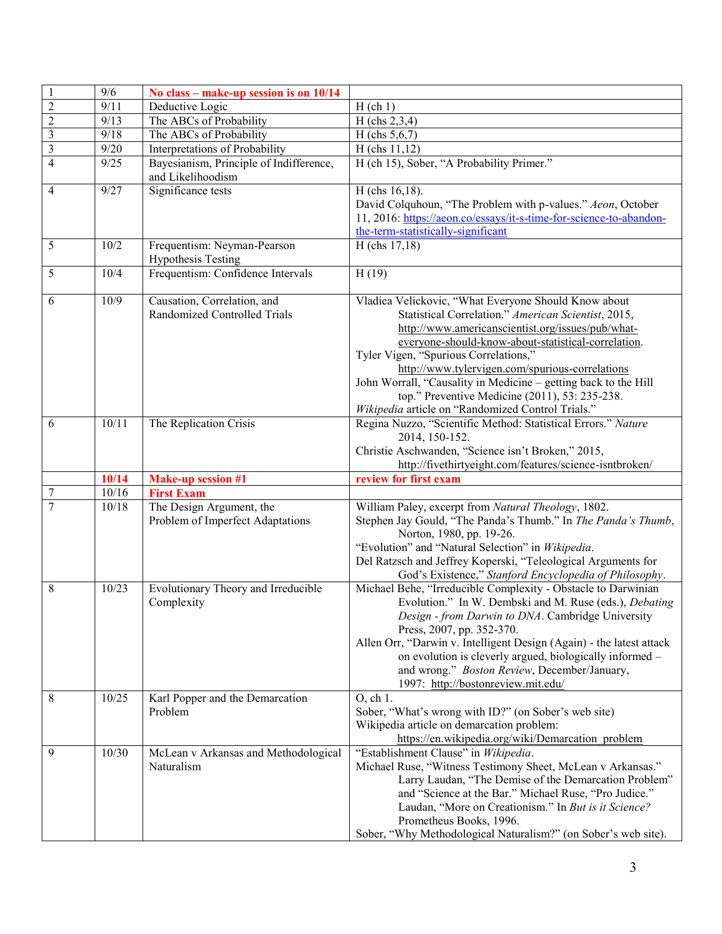|                | 9/6   | No class – make-up session is on 10/14                       |                                                                                                                                                                                                                                                                                                                                                                                                                                                                                               |
|----------------|-------|--------------------------------------------------------------|-----------------------------------------------------------------------------------------------------------------------------------------------------------------------------------------------------------------------------------------------------------------------------------------------------------------------------------------------------------------------------------------------------------------------------------------------------------------------------------------------|
| $\overline{2}$ | 9/11  | Deductive Logic                                              | $H$ (ch 1)                                                                                                                                                                                                                                                                                                                                                                                                                                                                                    |
| $\overline{2}$ | 9/13  | The ABCs of Probability                                      | H (chs 2,3,4)                                                                                                                                                                                                                                                                                                                                                                                                                                                                                 |
| $\mathfrak{Z}$ | 9/18  | The ABCs of Probability                                      | H (chs $5,6,7$ )                                                                                                                                                                                                                                                                                                                                                                                                                                                                              |
| $\mathfrak{Z}$ | 9/20  | Interpretations of Probability                               | $H$ (chs 11,12)                                                                                                                                                                                                                                                                                                                                                                                                                                                                               |
| $\overline{4}$ | 9/25  | Bayesianism, Principle of Indifference,<br>and Likelihoodism | H (ch 15), Sober, "A Probability Primer."                                                                                                                                                                                                                                                                                                                                                                                                                                                     |
| 4              | 9/27  | Significance tests                                           | H (chs 16,18).                                                                                                                                                                                                                                                                                                                                                                                                                                                                                |
|                |       |                                                              | David Colquhoun, "The Problem with p-values." Aeon, October                                                                                                                                                                                                                                                                                                                                                                                                                                   |
|                |       |                                                              | 11, 2016: https://aeon.co/essays/it-s-time-for-science-to-abandon-                                                                                                                                                                                                                                                                                                                                                                                                                            |
|                |       |                                                              | the-term-statistically-significant                                                                                                                                                                                                                                                                                                                                                                                                                                                            |
| 5              | 10/2  | Frequentism: Neyman-Pearson<br><b>Hypothesis Testing</b>     | H (chs 17,18)                                                                                                                                                                                                                                                                                                                                                                                                                                                                                 |
| 5              | 10/4  | Frequentism: Confidence Intervals                            | H(19)                                                                                                                                                                                                                                                                                                                                                                                                                                                                                         |
| 6              | 10/9  | Causation, Correlation, and<br>Randomized Controlled Trials  | Vladica Velickovic, "What Everyone Should Know about<br>Statistical Correlation." American Scientist, 2015,<br>http://www.americanscientist.org/issues/pub/what-<br>everyone-should-know-about-statistical-correlation.<br>Tyler Vigen, "Spurious Correlations,"<br>http://www.tylervigen.com/spurious-correlations<br>John Worrall, "Causality in Medicine - getting back to the Hill<br>top." Preventive Medicine (2011), 53: 235-238.<br>Wikipedia article on "Randomized Control Trials." |
| 6              | 10/11 | The Replication Crisis                                       | Regina Nuzzo, "Scientific Method: Statistical Errors." Nature<br>2014, 150-152.<br>Christie Aschwanden, "Science isn't Broken," 2015,<br>http://fivethirtyeight.com/features/science-isntbroken/                                                                                                                                                                                                                                                                                              |
|                | 10/14 | <b>Make-up session #1</b>                                    | review for first exam                                                                                                                                                                                                                                                                                                                                                                                                                                                                         |
| $\overline{7}$ | 10/16 | <b>First Exam</b>                                            |                                                                                                                                                                                                                                                                                                                                                                                                                                                                                               |
| $\overline{7}$ | 10/18 | The Design Argument, the<br>Problem of Imperfect Adaptations | William Paley, excerpt from Natural Theology, 1802.<br>Stephen Jay Gould, "The Panda's Thumb." In The Panda's Thumb,<br>Norton, 1980, pp. 19-26.<br>"Evolution" and "Natural Selection" in Wikipedia.<br>Del Ratzsch and Jeffrey Koperski, "Teleological Arguments for<br>God's Existence," Stanford Encyclopedia of Philosophy.                                                                                                                                                              |
| 8              | 10/23 | Evolutionary Theory and Irreducible<br>Complexity            | Michael Behe, "Irreducible Complexity - Obstacle to Darwinian<br>Evolution." In W. Dembski and M. Ruse (eds.), Debating<br><i>Design - from Darwin to DNA</i> . Cambridge University<br>Press, 2007, pp. 352-370.<br>Allen Orr, "Darwin v. Intelligent Design (Again) - the latest attack<br>on evolution is cleverly argued, biologically informed -<br>and wrong." Boston Review, December/January,<br>1997: http://bostonreview.mit.edu/                                                   |
| 8              | 10/25 | Karl Popper and the Demarcation<br>Problem                   | O, ch 1.<br>Sober, "What's wrong with ID?" (on Sober's web site)<br>Wikipedia article on demarcation problem:<br>https://en.wikipedia.org/wiki/Demarcation problem                                                                                                                                                                                                                                                                                                                            |
| 9              | 10/30 | McLean v Arkansas and Methodological<br>Naturalism           | "Establishment Clause" in Wikipedia.<br>Michael Ruse, "Witness Testimony Sheet, McLean v Arkansas."<br>Larry Laudan, "The Demise of the Demarcation Problem"<br>and "Science at the Bar." Michael Ruse, "Pro Judice."<br>Laudan, "More on Creationism." In But is it Science?<br>Prometheus Books, 1996.<br>Sober, "Why Methodological Naturalism?" (on Sober's web site).                                                                                                                    |